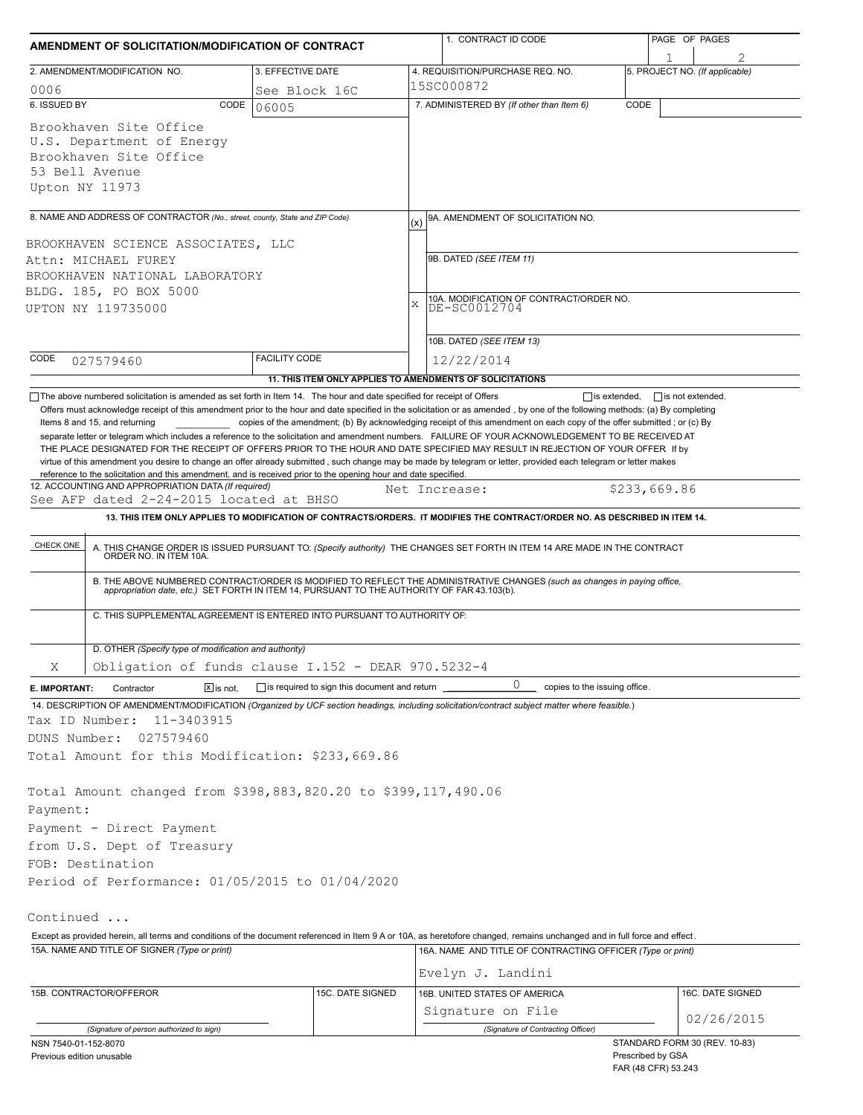| AMENDMENT OF SOLICITATION/MODIFICATION OF CONTRACT                                                                                                                                                                                                                                                                                                                                   |                                                           |   | 1. CONTRACT ID CODE                                                                                                                                                                                                   |                   | PAGE OF PAGES                       |  |  |  |  |
|--------------------------------------------------------------------------------------------------------------------------------------------------------------------------------------------------------------------------------------------------------------------------------------------------------------------------------------------------------------------------------------|-----------------------------------------------------------|---|-----------------------------------------------------------------------------------------------------------------------------------------------------------------------------------------------------------------------|-------------------|-------------------------------------|--|--|--|--|
| 2. AMENDMENT/MODIFICATION NO.                                                                                                                                                                                                                                                                                                                                                        | 3. EFFECTIVE DATE                                         |   | 4. REQUISITION/PURCHASE REQ. NO.                                                                                                                                                                                      |                   | 1<br>5. PROJECT NO. (If applicable) |  |  |  |  |
| 0006                                                                                                                                                                                                                                                                                                                                                                                 | See Block 16C                                             |   | 15SC000872                                                                                                                                                                                                            |                   |                                     |  |  |  |  |
| 6. ISSUED BY<br>CODE                                                                                                                                                                                                                                                                                                                                                                 | 06005                                                     |   | 7. ADMINISTERED BY (If other than Item 6)                                                                                                                                                                             | CODE              |                                     |  |  |  |  |
| Brookhaven Site Office<br>U.S. Department of Energy<br>Brookhaven Site Office<br>53 Bell Avenue<br>Upton NY 11973                                                                                                                                                                                                                                                                    |                                                           |   |                                                                                                                                                                                                                       |                   |                                     |  |  |  |  |
| 8. NAME AND ADDRESS OF CONTRACTOR (No., street, county, State and ZIP Code)                                                                                                                                                                                                                                                                                                          |                                                           |   | 9A. AMENDMENT OF SOLICITATION NO.                                                                                                                                                                                     |                   |                                     |  |  |  |  |
|                                                                                                                                                                                                                                                                                                                                                                                      |                                                           |   | (x)                                                                                                                                                                                                                   |                   |                                     |  |  |  |  |
| BROOKHAVEN SCIENCE ASSOCIATES, LLC                                                                                                                                                                                                                                                                                                                                                   |                                                           |   | 9B. DATED (SEE ITEM 11)                                                                                                                                                                                               |                   |                                     |  |  |  |  |
|                                                                                                                                                                                                                                                                                                                                                                                      | Attn: MICHAEL FUREY                                       |   |                                                                                                                                                                                                                       |                   |                                     |  |  |  |  |
| BROOKHAVEN NATIONAL LABORATORY<br>BLDG. 185, PO BOX 5000                                                                                                                                                                                                                                                                                                                             |                                                           |   |                                                                                                                                                                                                                       |                   |                                     |  |  |  |  |
| UPTON NY 119735000                                                                                                                                                                                                                                                                                                                                                                   |                                                           | X | 10A. MODIFICATION OF CONTRACT/ORDER NO.<br>DE-SC0012704                                                                                                                                                               |                   |                                     |  |  |  |  |
|                                                                                                                                                                                                                                                                                                                                                                                      |                                                           |   |                                                                                                                                                                                                                       |                   |                                     |  |  |  |  |
|                                                                                                                                                                                                                                                                                                                                                                                      |                                                           |   | 10B. DATED (SEE ITEM 13)                                                                                                                                                                                              |                   |                                     |  |  |  |  |
| CODE<br>027579460                                                                                                                                                                                                                                                                                                                                                                    | <b>FACILITY CODE</b>                                      |   | 12/22/2014                                                                                                                                                                                                            |                   |                                     |  |  |  |  |
|                                                                                                                                                                                                                                                                                                                                                                                      | 11. THIS ITEM ONLY APPLIES TO AMENDMENTS OF SOLICITATIONS |   |                                                                                                                                                                                                                       |                   |                                     |  |  |  |  |
| virtue of this amendment you desire to change an offer already submitted, such change may be made by telegram or letter, provided each telegram or letter makes<br>reference to the solicitation and this amendment, and is received prior to the opening hour and date specified.<br>12. ACCOUNTING AND APPROPRIATION DATA (If required)<br>See AFP dated 2-24-2015 located at BHSO |                                                           |   | Net Increase:                                                                                                                                                                                                         |                   | \$233,669.86                        |  |  |  |  |
|                                                                                                                                                                                                                                                                                                                                                                                      |                                                           |   | 13. THIS ITEM ONLY APPLIES TO MODIFICATION OF CONTRACTS/ORDERS. IT MODIFIES THE CONTRACT/ORDER NO. AS DESCRIBED IN ITEM 14.                                                                                           |                   |                                     |  |  |  |  |
| CHECK ONE                                                                                                                                                                                                                                                                                                                                                                            |                                                           |   | A. THIS CHANGE ORDER IS ISSUED PURSUANT TO: (Specify authority) THE CHANGES SET FORTH IN ITEM 14 ARE MADE IN THE CONTRACT ORDER NO. IN ITEM 10A.                                                                      |                   |                                     |  |  |  |  |
|                                                                                                                                                                                                                                                                                                                                                                                      |                                                           |   | B. THE ABOVE NUMBERED CONTRACT/ORDER IS MODIFIED TO REFLECT THE ADMINISTRATIVE CHANGES (such as changes in paying office, appropriation date, etc.) SET FORTH IN ITEM 14, PURSUANT TO THE AUTHORITY OF FAR 43.103(b). |                   |                                     |  |  |  |  |
| C. THIS SUPPLEMENTAL AGREEMENT IS ENTERED INTO PURSUANT TO AUTHORITY OF:                                                                                                                                                                                                                                                                                                             |                                                           |   |                                                                                                                                                                                                                       |                   |                                     |  |  |  |  |
| D. OTHER (Specify type of modification and authority)                                                                                                                                                                                                                                                                                                                                |                                                           |   |                                                                                                                                                                                                                       |                   |                                     |  |  |  |  |
| Obligation of funds clause I.152 - DEAR 970.5232-4<br>Χ                                                                                                                                                                                                                                                                                                                              |                                                           |   |                                                                                                                                                                                                                       |                   |                                     |  |  |  |  |
| $\boxed{\mathsf{X}}$ is not.<br>E. IMPORTANT:<br>Contractor                                                                                                                                                                                                                                                                                                                          | $\Box$ is required to sign this document and return       |   | 0<br>copies to the issuing office.                                                                                                                                                                                    |                   |                                     |  |  |  |  |
| 14. DESCRIPTION OF AMENDMENT/MODIFICATION (Organized by UCF section headings, including solicitation/contract subject matter where feasible.)                                                                                                                                                                                                                                        |                                                           |   |                                                                                                                                                                                                                       |                   |                                     |  |  |  |  |
| Tax ID Number:<br>11-3403915                                                                                                                                                                                                                                                                                                                                                         |                                                           |   |                                                                                                                                                                                                                       |                   |                                     |  |  |  |  |
| 027579460<br>DUNS Number:                                                                                                                                                                                                                                                                                                                                                            |                                                           |   |                                                                                                                                                                                                                       |                   |                                     |  |  |  |  |
| Total Amount for this Modification: \$233,669.86                                                                                                                                                                                                                                                                                                                                     |                                                           |   |                                                                                                                                                                                                                       |                   |                                     |  |  |  |  |
|                                                                                                                                                                                                                                                                                                                                                                                      |                                                           |   |                                                                                                                                                                                                                       |                   |                                     |  |  |  |  |
| Total Amount changed from \$398,883,820.20 to \$399,117,490.06                                                                                                                                                                                                                                                                                                                       |                                                           |   |                                                                                                                                                                                                                       |                   |                                     |  |  |  |  |
| Payment:                                                                                                                                                                                                                                                                                                                                                                             |                                                           |   |                                                                                                                                                                                                                       |                   |                                     |  |  |  |  |
| Payment - Direct Payment                                                                                                                                                                                                                                                                                                                                                             |                                                           |   |                                                                                                                                                                                                                       |                   |                                     |  |  |  |  |
| from U.S. Dept of Treasury                                                                                                                                                                                                                                                                                                                                                           |                                                           |   |                                                                                                                                                                                                                       |                   |                                     |  |  |  |  |
| FOB: Destination                                                                                                                                                                                                                                                                                                                                                                     |                                                           |   |                                                                                                                                                                                                                       |                   |                                     |  |  |  |  |
| Period of Performance: 01/05/2015 to 01/04/2020                                                                                                                                                                                                                                                                                                                                      |                                                           |   |                                                                                                                                                                                                                       |                   |                                     |  |  |  |  |
|                                                                                                                                                                                                                                                                                                                                                                                      |                                                           |   |                                                                                                                                                                                                                       |                   |                                     |  |  |  |  |
| Continued                                                                                                                                                                                                                                                                                                                                                                            |                                                           |   |                                                                                                                                                                                                                       |                   |                                     |  |  |  |  |
| Except as provided herein, all terms and conditions of the document referenced in Item 9 A or 10A, as heretofore changed, remains unchanged and in full force and effect.<br>15A. NAME AND TITLE OF SIGNER (Type or print)                                                                                                                                                           |                                                           |   | 16A. NAME AND TITLE OF CONTRACTING OFFICER (Type or print)                                                                                                                                                            |                   |                                     |  |  |  |  |
|                                                                                                                                                                                                                                                                                                                                                                                      |                                                           |   |                                                                                                                                                                                                                       |                   |                                     |  |  |  |  |
|                                                                                                                                                                                                                                                                                                                                                                                      |                                                           |   | Evelyn J. Landini                                                                                                                                                                                                     |                   |                                     |  |  |  |  |
| 15B. CONTRACTOR/OFFEROR                                                                                                                                                                                                                                                                                                                                                              | 15C. DATE SIGNED                                          |   | 16B. UNITED STATES OF AMERICA                                                                                                                                                                                         |                   | 16C. DATE SIGNED                    |  |  |  |  |
|                                                                                                                                                                                                                                                                                                                                                                                      |                                                           |   | Signature on File                                                                                                                                                                                                     |                   | 02/26/2015                          |  |  |  |  |
| (Signature of person authorized to sign)<br>NSN 7540-01-152-8070                                                                                                                                                                                                                                                                                                                     |                                                           |   | (Signature of Contracting Officer)                                                                                                                                                                                    |                   | STANDARD FORM 30 (REV. 10-83)       |  |  |  |  |
| Previous edition unusable                                                                                                                                                                                                                                                                                                                                                            |                                                           |   |                                                                                                                                                                                                                       | Prescribed by GSA | FAR (48 CFR) 53.243                 |  |  |  |  |